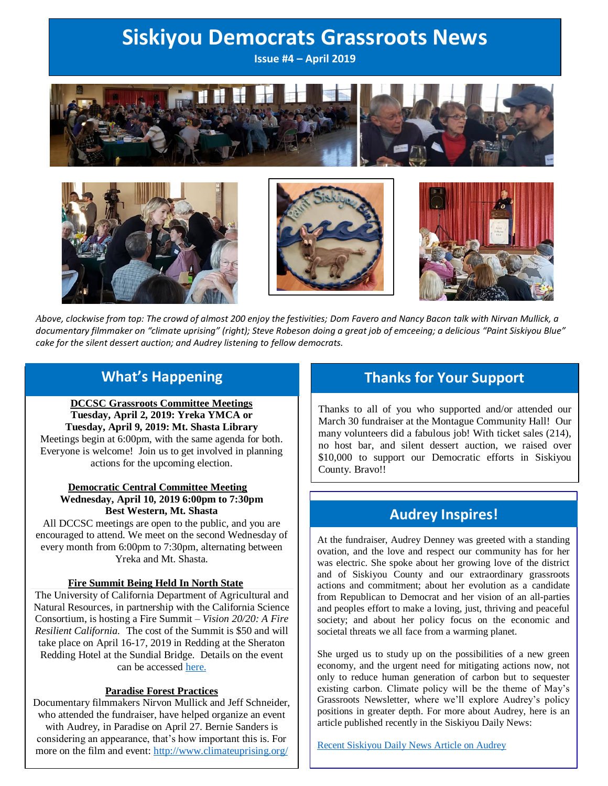# **Siskiyou Democrats Grassroots News**

#### **Issue #4 – April 2019**









*Above, clockwise from top: The crowd of almost 200 enjoy the festivities; Dom Favero and Nancy Bacon talk with Nirvan Mullick, a documentary filmmaker on "climate uprising" (right); Steve Robeson doing a great job of emceeing; a delicious "Paint Siskiyou Blue" cake for the silent dessert auction; and Audrey listening to fellow democrats.*

## **What's Happening**

#### **DCCSC Grassroots Committee Meetings Tuesday, April 2, 2019: Yreka YMCA or Tuesday, April 9, 2019: Mt. Shasta Library**

Meetings begin at 6:00pm, with the same agenda for both. Everyone is welcome! Join us to get involved in planning actions for the upcoming election.

#### **Democratic Central Committee Meeting Wednesday, April 10, 2019 6:00pm to 7:30pm Best Western, Mt. Shasta**

All DCCSC meetings are open to the public, and you are encouraged to attend. We meet on the second Wednesday of every month from 6:00pm to 7:30pm, alternating between Yreka and Mt. Shasta.

#### **Fire Summit Being Held In North State**

The University of California Department of Agricultural and Natural Resources, in partnership with the California Science Consortium, is hosting a Fire Summit – *Vision 20/20: A Fire Resilient California.* The cost of the Summit is \$50 and will take place on April 16-17, 2019 in Redding at the Sheraton Redding Hotel at the Sundial Bridge. Details on the event can be accessed [here.](https://ucanr.edu/sites/firesummit/)

#### **Paradise Forest Practices**

Documentary filmmakers Nirvon Mullick and Jeff Schneider, who attended the fundraiser, have helped organize an event with Audrey, in Paradise on April 27. Bernie Sanders is considering an appearance, that's how important this is. For more on the film and event[: http://www.climateuprising.org/](http://www.climateuprising.org/)

### **Thanks for Your Support**

Thanks to all of you who supported and/or attended our March 30 fundraiser at the Montague Community Hall! Our many volunteers did a fabulous job! With ticket sales (214), no host bar, and silent dessert auction, we raised over \$10,000 to support our Democratic efforts in Siskiyou County. Bravo!!

## **Audrey Inspires!**

At the fundraiser, Audrey Denney was greeted with a standing ovation, and the love and respect our community has for her was electric. She spoke about her growing love of the district and of Siskiyou County and our extraordinary grassroots actions and commitment; about her evolution as a candidate from Republican to Democrat and her vision of an all-parties and peoples effort to make a loving, just, thriving and peaceful society; and about her policy focus on the economic and societal threats we all face from a warming planet.

She urged us to study up on the possibilities of a new green economy, and the urgent need for mitigating actions now, not only to reduce human generation of carbon but to sequester existing carbon. Climate policy will be the theme of May's Grassroots Newsletter, where we'll explore Audrey's policy positions in greater depth. For more about Audrey, here is an article published recently in the Siskiyou Daily News:

[Recent Siskiyou Daily News Article on Audrey](https://www.siskiyoudaily.com/news/20190327/denney-on-her-motivation-to-challenge-lamalfa-dams-and-other-siskiyou-topics)